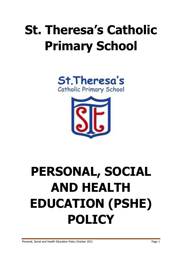## **St. Theresa's Catholic Primary School**





# **PERSONAL, SOCIAL AND HEALTH EDUCATION (PSHE) POLICY**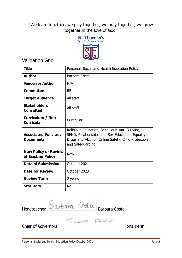"We learn together, we play together, we pray together, we grow together in the love of God"



Validation Grid

| <b>Title</b>                                      | Personal, Social and Health Education Policy                                                                                                                                 |  |  |  |
|---------------------------------------------------|------------------------------------------------------------------------------------------------------------------------------------------------------------------------------|--|--|--|
| <b>Author</b>                                     | Barbara Costa                                                                                                                                                                |  |  |  |
| <b>Associate Author</b>                           | N/A                                                                                                                                                                          |  |  |  |
| <b>Committee</b>                                  | <b>RE</b>                                                                                                                                                                    |  |  |  |
| <b>Target Audience</b>                            | All staff                                                                                                                                                                    |  |  |  |
| <b>Stakeholders</b><br><b>Consulted</b>           | All staff                                                                                                                                                                    |  |  |  |
| <b>Curriculum / Non</b><br><b>Curricular</b>      | Curricular                                                                                                                                                                   |  |  |  |
| <b>Associated Policies /</b><br><b>Documents</b>  | Religious Education, Behaviour, Anti-Bullying,<br>SEND, Relationships and Sex Education, Equality,<br>Drugs and Alcohol, Online Safety, Child Protection<br>and Safeguarding |  |  |  |
| <b>New Policy or Review</b><br>of Existing Policy | <b>New</b>                                                                                                                                                                   |  |  |  |
| <b>Date of Submission</b>                         | October 2021                                                                                                                                                                 |  |  |  |
| <b>Date for Review</b>                            | October 2023                                                                                                                                                                 |  |  |  |
| <b>Review Term</b>                                | 2 years                                                                                                                                                                      |  |  |  |
| <b>Statutory</b>                                  | <b>No</b>                                                                                                                                                                    |  |  |  |

Headteacher DWDWN Barbara Costa

Chair of Governors **Fiona** Kering Chair of Governors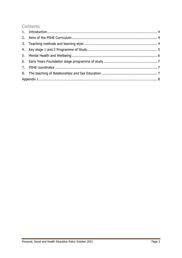### Contents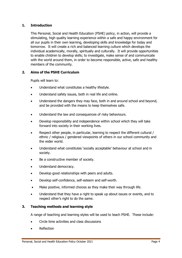#### <span id="page-3-0"></span>**1. Introduction**

This Personal, Social and Health Education (PSHE) policy, in action, will provide a stimulating, high quality learning experience within a safe and happy environment for all our pupils in their own learning, developing skills and knowledge for today and tomorrow. It will create a rich and balanced learning culture which develops the individual academically, morally, spiritually and culturally. It will provide opportunities to enable children to develop skills; to investigate, make sense of and communicate with the world around them, in order to become responsible, active, safe and healthy members of the community.

#### <span id="page-3-1"></span>**2. Aims of the PSHE Curriculum**

Pupils will learn to:

- Understand what constitutes a healthy lifestyle.
- Understand safety issues, both in real life and online.
- Understand the dangers they may face, both in and around school and beyond, and be provided with the means to keep themselves safe.
- Understand the law and consequences of risky behaviours.
- Develop responsibility and independence within school which they will take forward into society in their working lives.
- Respect other people, in particular, learning to respect the different cultural / ethnic / religious / gendered viewpoints of others in our school community and the wider world.
- Understand what constitutes 'socially acceptable' behaviour at school and in society.
- Be a constructive member of society.
- Understand democracy.
- Develop good relationships with peers and adults.
- Develop self-confidence, self-esteem and self-worth.
- Make positive, informed choices as they make their way through life.
- Understand that they have a right to speak up about issues or events, and to respect other's right to do the same.

#### <span id="page-3-2"></span>**3. Teaching methods and learning style**

A range of teaching and learning styles will be used to teach PSHE. These include:

- Circle time activities and class discussions
- Reflection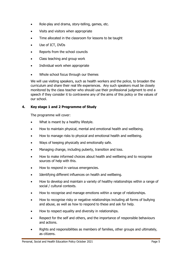- Role-play and drama, story-telling, games, etc.
- Visits and visitors when appropriate
- Time allocated in the classroom for lessons to be taught
- Use of ICT, DVDs
- Reports from the school councils
- Class teaching and group work
- Individual work when appropriate
- Whole school focus through our themes

We will use visiting speakers, such as health workers and the police, to broaden the curriculum and share their real life experiences. Any such speakers must be closely monitored by the class teacher who should use their professional judgment to end a speech if they consider it to contravene any of the aims of this policy or the values of our school.

#### <span id="page-4-0"></span>**4. Key stage 1 and 2 Programme of Study**

The programme will cover:

- What is meant by a healthy lifestyle.
- How to maintain physical, mental and emotional health and wellbeing.
- How to manage risks to physical and emotional health and wellbeing.
- Ways of keeping physically and emotionally safe.
- Managing change, including puberty, transition and loss.
- How to make informed choices about health and wellbeing and to recognise sources of help with this.
- How to respond in various emergencies.
- Identifying different influences on health and wellbeing.
- How to develop and maintain a variety of healthy relationships within a range of social / cultural contexts.
- How to recognise and manage emotions within a range of relationships.
- How to recognise risky or negative relationships including all forms of bullying and abuse, as well as how to respond to these and ask for help.
- How to respect equality and diversity in relationships.
- Respect for the self and others, and the importance of responsible behaviours and actions.
- Rights and responsibilities as members of families, other groups and ultimately, as citizens.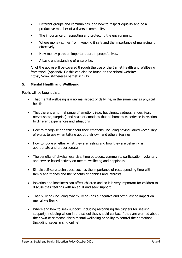- Different groups and communities, and how to respect equality and be a productive member of a diverse community.
- The importance of respecting and protecting the environment.
- Where money comes from, keeping it safe and the importance of managing it effectively.
- How money plays an important part in people's lives.
- A basic understanding of enterprise.

All of the above will be covered through the use of the Barnet Health and Wellbeing framework (Appendix 1); this can also be found on the school website: https://www.st-theresas.barnet.sch.uk/

#### <span id="page-5-0"></span>**5. Mental Health and Wellbeing**

Pupils will be taught that:

- That mental wellbeing is a normal aspect of daily life, in the same way as physical health
- That there is a normal range of emotions (e.g. happiness, sadness, anger, fear, nervousness, surprise) and scale of emotions that all humans experience in relation to different experiences and situations
- How to recognise and talk about their emotions, including having varied vocabulary of words to use when talking about their own and others' feelings
- How to judge whether what they are feeling and how they are behaving is appropriate and proportionate
- The benefits of physical exercise, time outdoors, community participation, voluntary and service-based activity on mental wellbeing and happiness
- Simple self-care techniques, such as the importance of rest, spending time with family and friends and the benefits of hobbies and interests
- Isolation and loneliness can affect children and so it is very important for children to discuss their feelings with an adult and seek support
- That bullying (including cyberbullying) has a negative and often lasting impact on mental wellbeing
- Where and how to seek support (including recognising the triggers for seeking support), including whom in the school they should contact if they are worried about their own or someone else's mental wellbeing or ability to control their emotions (including issues arising online)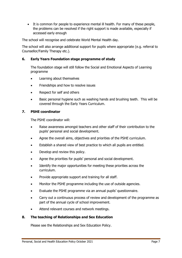It is common for people to experience mental ill health. For many of these people, the problems can be resolved if the right support is made available, especially if accessed early enough

The school will recognise and celebrate World Mental Health day.

The school will also arrange additional support for pupils where appropriate (e.g. referral to Counsellor/Family Therapy etc.).

#### <span id="page-6-0"></span>**6. Early Years Foundation stage programme of study**

The foundation stage will still follow the Social and Emotional Aspects of Learning programme

- Learning about themselves
- Friendships and how to resolve issues
- Respect for self and others
- Basic personal hygiene such as washing hands and brushing teeth. This will be covered through the Early Years Curriculum.

#### <span id="page-6-1"></span>**7. PSHE coordinator**

The PSHE coordinator will:

- Raise awareness amongst teachers and other staff of their contribution to the pupils' personal and social development.
- Agree the overall aims, objectives and priorities of the PSHE curriculum.
- Establish a shared view of best practice to which all pupils are entitled.
- Develop and review this policy.
- Agree the priorities for pupils' personal and social development.
- Identify the major opportunities for meeting these priorities across the curriculum.
- Provide appropriate support and training for all staff.
- Monitor the PSHE programme including the use of outside agencies.
- Evaluate the PSHE programme via an annual pupils' questionnaire.
- Carry out a continuous process of review and development of the programme as part of the annual cycle of school improvement.
- Attend relevant courses and network meetings.

#### <span id="page-6-2"></span>**8. The teaching of Relationships and Sex Education**

Please see the Relationships and Sex Education Policy.